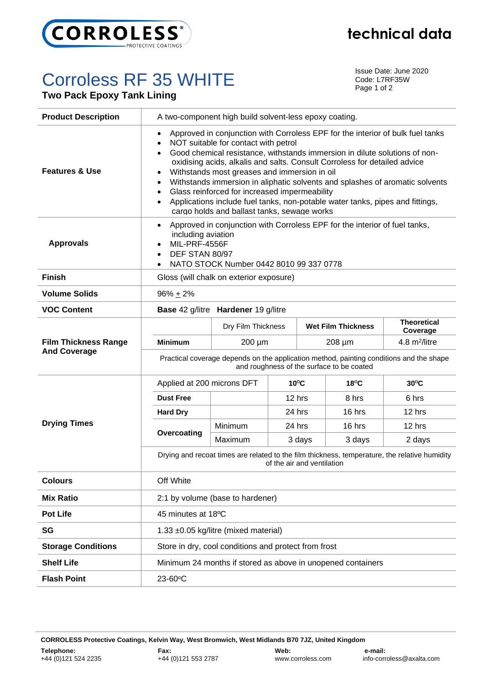

## Corroless RF 35 WHITE

**Two Pack Epoxy Tank Lining**

Issue Date: June 2020 Code: L7RF35W Page 1 of 2

| <b>Product Description</b>                         | A two-component high build solvent-less epoxy coating.                                                                                                                                                                                                                                                                                                                                                                                                                                                                                                                                                                                                                                        |                    |                |  |                           |                                |  |  |  |
|----------------------------------------------------|-----------------------------------------------------------------------------------------------------------------------------------------------------------------------------------------------------------------------------------------------------------------------------------------------------------------------------------------------------------------------------------------------------------------------------------------------------------------------------------------------------------------------------------------------------------------------------------------------------------------------------------------------------------------------------------------------|--------------------|----------------|--|---------------------------|--------------------------------|--|--|--|
| <b>Features &amp; Use</b>                          | Approved in conjunction with Corroless EPF for the interior of bulk fuel tanks<br>$\bullet$<br>NOT suitable for contact with petrol<br>$\bullet$<br>Good chemical resistance, withstands immersion in dilute solutions of non-<br>$\bullet$<br>oxidising acids, alkalis and salts. Consult Corroless for detailed advice<br>Withstands most greases and immersion in oil<br>$\bullet$<br>Withstands immersion in aliphatic solvents and splashes of aromatic solvents<br>$\bullet$<br>Glass reinforced for increased impermeability<br>$\bullet$<br>Applications include fuel tanks, non-potable water tanks, pipes and fittings,<br>$\bullet$<br>cargo holds and ballast tanks, sewage works |                    |                |  |                           |                                |  |  |  |
| <b>Approvals</b>                                   | Approved in conjunction with Corroless EPF for the interior of fuel tanks,<br>$\bullet$<br>including aviation<br>MIL-PRF-4556F<br>$\bullet$<br>DEF STAN 80/97<br>$\bullet$<br>NATO STOCK Number 0442 8010 99 337 0778                                                                                                                                                                                                                                                                                                                                                                                                                                                                         |                    |                |  |                           |                                |  |  |  |
| <b>Finish</b>                                      | Gloss (will chalk on exterior exposure)                                                                                                                                                                                                                                                                                                                                                                                                                                                                                                                                                                                                                                                       |                    |                |  |                           |                                |  |  |  |
| <b>Volume Solids</b>                               | $96\% + 2\%$                                                                                                                                                                                                                                                                                                                                                                                                                                                                                                                                                                                                                                                                                  |                    |                |  |                           |                                |  |  |  |
| <b>VOC Content</b>                                 | Base 42 g/litre Hardener 19 g/litre                                                                                                                                                                                                                                                                                                                                                                                                                                                                                                                                                                                                                                                           |                    |                |  |                           |                                |  |  |  |
| <b>Film Thickness Range</b><br><b>And Coverage</b> |                                                                                                                                                                                                                                                                                                                                                                                                                                                                                                                                                                                                                                                                                               | Dry Film Thickness |                |  | <b>Wet Film Thickness</b> | <b>Theoretical</b><br>Coverage |  |  |  |
|                                                    | <b>Minimum</b>                                                                                                                                                                                                                                                                                                                                                                                                                                                                                                                                                                                                                                                                                | 200 µm             |                |  | 208 µm                    | 4.8 m <sup>2</sup> /litre      |  |  |  |
|                                                    | Practical coverage depends on the application method, painting conditions and the shape<br>and roughness of the surface to be coated                                                                                                                                                                                                                                                                                                                                                                                                                                                                                                                                                          |                    |                |  |                           |                                |  |  |  |
| <b>Drying Times</b>                                | Applied at 200 microns DFT                                                                                                                                                                                                                                                                                                                                                                                                                                                                                                                                                                                                                                                                    |                    | $10^{\circ}$ C |  | $18^{\circ}$ C            | $30^{\circ}$ C                 |  |  |  |
|                                                    | <b>Dust Free</b>                                                                                                                                                                                                                                                                                                                                                                                                                                                                                                                                                                                                                                                                              |                    | 12 hrs         |  | 8 hrs                     | 6 hrs                          |  |  |  |
|                                                    | <b>Hard Dry</b>                                                                                                                                                                                                                                                                                                                                                                                                                                                                                                                                                                                                                                                                               |                    | 24 hrs         |  | 16 hrs                    | 12 hrs                         |  |  |  |
|                                                    | Overcoating                                                                                                                                                                                                                                                                                                                                                                                                                                                                                                                                                                                                                                                                                   | Minimum            | 24 hrs         |  | 16 hrs                    | 12 hrs                         |  |  |  |
|                                                    |                                                                                                                                                                                                                                                                                                                                                                                                                                                                                                                                                                                                                                                                                               | Maximum            | 3 days         |  | 3 days                    | 2 days                         |  |  |  |
|                                                    | Drying and recoat times are related to the film thickness, temperature, the relative humidity<br>of the air and ventilation                                                                                                                                                                                                                                                                                                                                                                                                                                                                                                                                                                   |                    |                |  |                           |                                |  |  |  |
| <b>Colours</b>                                     | Off White                                                                                                                                                                                                                                                                                                                                                                                                                                                                                                                                                                                                                                                                                     |                    |                |  |                           |                                |  |  |  |
| <b>Mix Ratio</b>                                   | 2:1 by volume (base to hardener)                                                                                                                                                                                                                                                                                                                                                                                                                                                                                                                                                                                                                                                              |                    |                |  |                           |                                |  |  |  |
| <b>Pot Life</b>                                    | 45 minutes at 18°C                                                                                                                                                                                                                                                                                                                                                                                                                                                                                                                                                                                                                                                                            |                    |                |  |                           |                                |  |  |  |
| SG                                                 | 1.33 ±0.05 kg/litre (mixed material)                                                                                                                                                                                                                                                                                                                                                                                                                                                                                                                                                                                                                                                          |                    |                |  |                           |                                |  |  |  |
| <b>Storage Conditions</b>                          | Store in dry, cool conditions and protect from frost                                                                                                                                                                                                                                                                                                                                                                                                                                                                                                                                                                                                                                          |                    |                |  |                           |                                |  |  |  |
| <b>Shelf Life</b>                                  | Minimum 24 months if stored as above in unopened containers                                                                                                                                                                                                                                                                                                                                                                                                                                                                                                                                                                                                                                   |                    |                |  |                           |                                |  |  |  |
| <b>Flash Point</b>                                 | 23-60°C                                                                                                                                                                                                                                                                                                                                                                                                                                                                                                                                                                                                                                                                                       |                    |                |  |                           |                                |  |  |  |

**CORROLESS Protective Coatings, Kelvin Way, West Bromwich, West Midlands B70 7JZ, United Kingdom**

## **technical data**